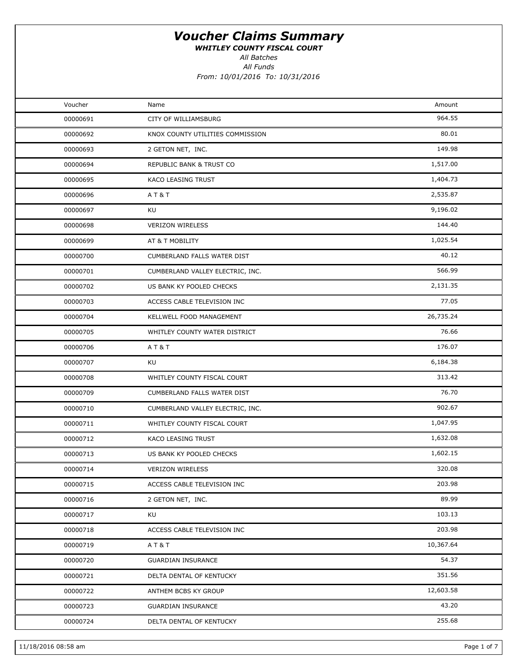WHITLEY COUNTY FISCAL COURT

All Batches

All Funds From: 10/01/2016 To: 10/31/2016

| Voucher  | Name                             | Amount    |  |
|----------|----------------------------------|-----------|--|
| 00000691 | CITY OF WILLIAMSBURG             | 964.55    |  |
| 00000692 | KNOX COUNTY UTILITIES COMMISSION | 80.01     |  |
| 00000693 | 2 GETON NET, INC.                | 149.98    |  |
| 00000694 | REPUBLIC BANK & TRUST CO         | 1,517.00  |  |
| 00000695 | KACO LEASING TRUST               | 1,404.73  |  |
| 00000696 | AT&T                             | 2,535.87  |  |
| 00000697 | KU                               | 9,196.02  |  |
| 00000698 | <b>VERIZON WIRELESS</b>          | 144.40    |  |
| 00000699 | AT & T MOBILITY                  | 1,025.54  |  |
| 00000700 | CUMBERLAND FALLS WATER DIST      | 40.12     |  |
| 00000701 | CUMBERLAND VALLEY ELECTRIC, INC. | 566.99    |  |
| 00000702 | US BANK KY POOLED CHECKS         | 2,131.35  |  |
| 00000703 | ACCESS CABLE TELEVISION INC      | 77.05     |  |
| 00000704 | KELLWELL FOOD MANAGEMENT         | 26,735.24 |  |
| 00000705 | WHITLEY COUNTY WATER DISTRICT    | 76.66     |  |
| 00000706 | A T & T                          | 176.07    |  |
| 00000707 | KU                               | 6,184.38  |  |
| 00000708 | WHITLEY COUNTY FISCAL COURT      | 313.42    |  |
| 00000709 | CUMBERLAND FALLS WATER DIST      | 76.70     |  |
| 00000710 | CUMBERLAND VALLEY ELECTRIC, INC. | 902.67    |  |
| 00000711 | WHITLEY COUNTY FISCAL COURT      | 1,047.95  |  |
| 00000712 | KACO LEASING TRUST               | 1,632.08  |  |
| 00000713 | US BANK KY POOLED CHECKS         | 1,602.15  |  |
| 00000714 | <b>VERIZON WIRELESS</b>          | 320.08    |  |
| 00000715 | ACCESS CABLE TELEVISION INC      | 203.98    |  |
| 00000716 | 2 GETON NET, INC.                | 89.99     |  |
| 00000717 | KU                               | 103.13    |  |
| 00000718 | ACCESS CABLE TELEVISION INC      | 203.98    |  |
| 00000719 | AT&T                             | 10,367.64 |  |
| 00000720 | <b>GUARDIAN INSURANCE</b>        | 54.37     |  |
| 00000721 | DELTA DENTAL OF KENTUCKY         | 351.56    |  |
| 00000722 | ANTHEM BCBS KY GROUP             | 12,603.58 |  |
| 00000723 | <b>GUARDIAN INSURANCE</b>        | 43.20     |  |
| 00000724 | DELTA DENTAL OF KENTUCKY         | 255.68    |  |
|          |                                  |           |  |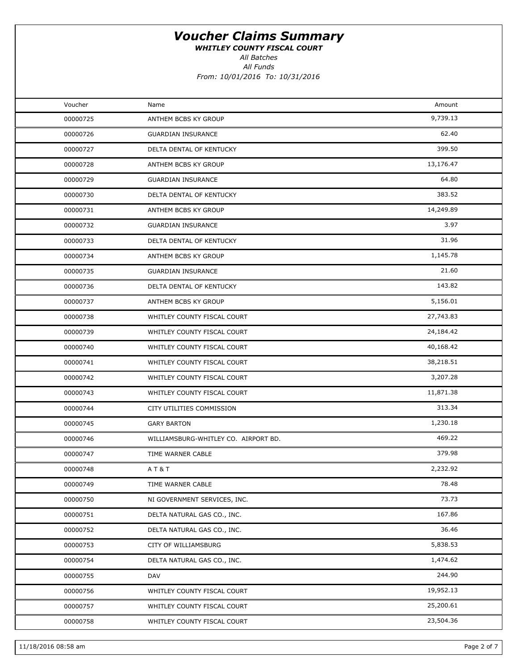WHITLEY COUNTY FISCAL COURT

All Batches

All Funds From: 10/01/2016 To: 10/31/2016

| Voucher  | Name                                 | Amount    |  |
|----------|--------------------------------------|-----------|--|
| 00000725 | ANTHEM BCBS KY GROUP                 | 9,739.13  |  |
| 00000726 | <b>GUARDIAN INSURANCE</b>            | 62.40     |  |
| 00000727 | DELTA DENTAL OF KENTUCKY             | 399.50    |  |
| 00000728 | ANTHEM BCBS KY GROUP                 | 13,176.47 |  |
| 00000729 | <b>GUARDIAN INSURANCE</b>            | 64.80     |  |
| 00000730 | DELTA DENTAL OF KENTUCKY             | 383.52    |  |
| 00000731 | ANTHEM BCBS KY GROUP                 | 14,249.89 |  |
| 00000732 | <b>GUARDIAN INSURANCE</b>            | 3.97      |  |
| 00000733 | DELTA DENTAL OF KENTUCKY             | 31.96     |  |
| 00000734 | ANTHEM BCBS KY GROUP                 | 1,145.78  |  |
| 00000735 | <b>GUARDIAN INSURANCE</b>            | 21.60     |  |
| 00000736 | DELTA DENTAL OF KENTUCKY             | 143.82    |  |
| 00000737 | ANTHEM BCBS KY GROUP                 | 5,156.01  |  |
| 00000738 | WHITLEY COUNTY FISCAL COURT          | 27,743.83 |  |
| 00000739 | WHITLEY COUNTY FISCAL COURT          | 24,184.42 |  |
| 00000740 | WHITLEY COUNTY FISCAL COURT          | 40,168.42 |  |
| 00000741 | WHITLEY COUNTY FISCAL COURT          | 38,218.51 |  |
| 00000742 | WHITLEY COUNTY FISCAL COURT          | 3,207.28  |  |
| 00000743 | WHITLEY COUNTY FISCAL COURT          | 11,871.38 |  |
| 00000744 | CITY UTILITIES COMMISSION            | 313.34    |  |
| 00000745 | <b>GARY BARTON</b>                   | 1,230.18  |  |
| 00000746 | WILLIAMSBURG-WHITLEY CO. AIRPORT BD. | 469.22    |  |
| 00000747 | TIME WARNER CABLE                    | 379.98    |  |
| 00000748 | <b>AT&amp;T</b>                      | 2,232.92  |  |
| 00000749 | TIME WARNER CABLE                    | 78.48     |  |
| 00000750 | NI GOVERNMENT SERVICES, INC.         | 73.73     |  |
| 00000751 | DELTA NATURAL GAS CO., INC.          | 167.86    |  |
| 00000752 | DELTA NATURAL GAS CO., INC.          | 36.46     |  |
| 00000753 | CITY OF WILLIAMSBURG                 | 5,838.53  |  |
| 00000754 | DELTA NATURAL GAS CO., INC.          | 1,474.62  |  |
| 00000755 | DAV                                  | 244.90    |  |
| 00000756 | WHITLEY COUNTY FISCAL COURT          | 19,952.13 |  |
| 00000757 | WHITLEY COUNTY FISCAL COURT          | 25,200.61 |  |
| 00000758 | WHITLEY COUNTY FISCAL COURT          | 23,504.36 |  |
|          |                                      |           |  |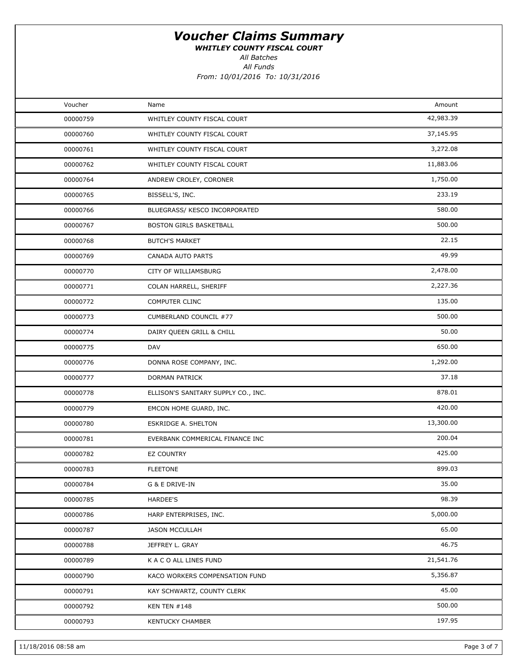WHITLEY COUNTY FISCAL COURT

All Batches

All Funds

| Voucher  | Name                                | Amount    |  |
|----------|-------------------------------------|-----------|--|
| 00000759 | WHITLEY COUNTY FISCAL COURT         | 42,983.39 |  |
| 00000760 | WHITLEY COUNTY FISCAL COURT         | 37,145.95 |  |
| 00000761 | WHITLEY COUNTY FISCAL COURT         | 3,272.08  |  |
| 00000762 | WHITLEY COUNTY FISCAL COURT         | 11,883.06 |  |
| 00000764 | ANDREW CROLEY, CORONER              | 1,750.00  |  |
| 00000765 | BISSELL'S, INC.                     | 233.19    |  |
| 00000766 | BLUEGRASS/ KESCO INCORPORATED       | 580.00    |  |
| 00000767 | BOSTON GIRLS BASKETBALL             | 500.00    |  |
| 00000768 | <b>BUTCH'S MARKET</b>               | 22.15     |  |
| 00000769 | CANADA AUTO PARTS                   | 49.99     |  |
| 00000770 | CITY OF WILLIAMSBURG                | 2,478.00  |  |
| 00000771 | COLAN HARRELL, SHERIFF              | 2,227.36  |  |
| 00000772 | <b>COMPUTER CLINC</b>               | 135.00    |  |
| 00000773 | CUMBERLAND COUNCIL #77              | 500.00    |  |
| 00000774 | DAIRY QUEEN GRILL & CHILL           | 50.00     |  |
| 00000775 | DAV                                 | 650.00    |  |
| 00000776 | DONNA ROSE COMPANY, INC.            | 1,292.00  |  |
| 00000777 | DORMAN PATRICK                      | 37.18     |  |
| 00000778 | ELLISON'S SANITARY SUPPLY CO., INC. | 878.01    |  |
| 00000779 | EMCON HOME GUARD, INC.              | 420.00    |  |
| 00000780 | <b>ESKRIDGE A. SHELTON</b>          | 13,300.00 |  |
| 00000781 | EVERBANK COMMERICAL FINANCE INC     | 200.04    |  |
| 00000782 | <b>EZ COUNTRY</b>                   | 425.00    |  |
| 00000783 | <b>FLEETONE</b>                     | 899.03    |  |
| 00000784 | G & E DRIVE-IN                      | 35.00     |  |
| 00000785 | HARDEE'S                            | 98.39     |  |
| 00000786 | HARP ENTERPRISES, INC.              | 5,000.00  |  |
| 00000787 | <b>JASON MCCULLAH</b>               | 65.00     |  |
| 00000788 | JEFFREY L. GRAY                     | 46.75     |  |
| 00000789 | K A C O ALL LINES FUND              | 21,541.76 |  |
| 00000790 | KACO WORKERS COMPENSATION FUND      | 5,356.87  |  |
| 00000791 | KAY SCHWARTZ, COUNTY CLERK          | 45.00     |  |
| 00000792 | <b>KEN TEN #148</b>                 | 500.00    |  |
| 00000793 | <b>KENTUCKY CHAMBER</b>             | 197.95    |  |
|          |                                     |           |  |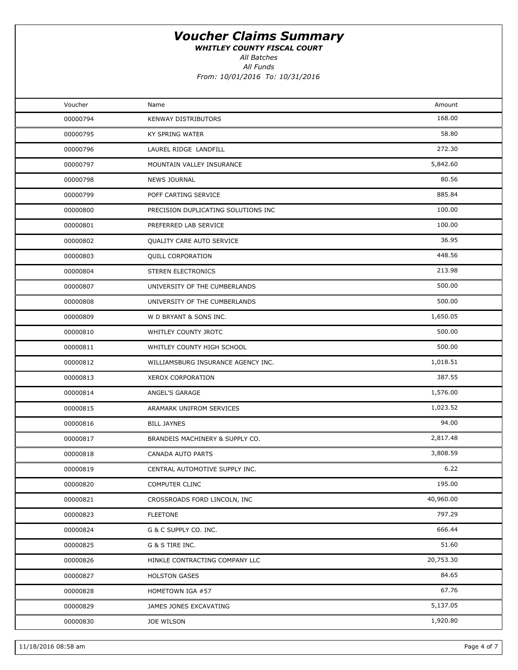WHITLEY COUNTY FISCAL COURT

All Batches

All Funds

| Voucher  | Name                                | Amount    |  |
|----------|-------------------------------------|-----------|--|
| 00000794 | KENWAY DISTRIBUTORS                 | 168.00    |  |
| 00000795 | KY SPRING WATER                     | 58.80     |  |
| 00000796 | LAUREL RIDGE LANDFILL               | 272.30    |  |
| 00000797 | MOUNTAIN VALLEY INSURANCE           | 5,842.60  |  |
| 00000798 | <b>NEWS JOURNAL</b>                 | 80.56     |  |
| 00000799 | POFF CARTING SERVICE                | 885.84    |  |
| 00000800 | PRECISION DUPLICATING SOLUTIONS INC | 100.00    |  |
| 00000801 | PREFERRED LAB SERVICE               | 100.00    |  |
| 00000802 | QUALITY CARE AUTO SERVICE           | 36.95     |  |
| 00000803 | <b>QUILL CORPORATION</b>            | 448.56    |  |
| 00000804 | STEREN ELECTRONICS                  | 213.98    |  |
| 00000807 | UNIVERSITY OF THE CUMBERLANDS       | 500.00    |  |
| 00000808 | UNIVERSITY OF THE CUMBERLANDS       | 500.00    |  |
| 00000809 | W D BRYANT & SONS INC.              | 1,650.05  |  |
| 00000810 | WHITLEY COUNTY JROTC                | 500.00    |  |
| 00000811 | WHITLEY COUNTY HIGH SCHOOL          | 500.00    |  |
| 00000812 | WILLIAMSBURG INSURANCE AGENCY INC.  | 1,018.51  |  |
| 00000813 | XEROX CORPORATION                   | 387.55    |  |
| 00000814 | ANGEL'S GARAGE                      | 1,576.00  |  |
| 00000815 | ARAMARK UNIFROM SERVICES            | 1,023.52  |  |
| 00000816 | <b>BILL JAYNES</b>                  | 94.00     |  |
| 00000817 | BRANDEIS MACHINERY & SUPPLY CO.     | 2,817.48  |  |
| 00000818 | CANADA AUTO PARTS                   | 3,808.59  |  |
| 00000819 | CENTRAL AUTOMOTIVE SUPPLY INC.      | 6.22      |  |
| 00000820 | COMPUTER CLINC                      | 195.00    |  |
| 00000821 | CROSSROADS FORD LINCOLN, INC        | 40,960.00 |  |
| 00000823 | <b>FLEETONE</b>                     | 797.29    |  |
| 00000824 | G & C SUPPLY CO. INC.               | 666.44    |  |
| 00000825 | G & S TIRE INC.                     | 51.60     |  |
| 00000826 | HINKLE CONTRACTING COMPANY LLC      | 20,753.30 |  |
| 00000827 | <b>HOLSTON GASES</b>                | 84.65     |  |
| 00000828 | HOMETOWN IGA #57                    | 67.76     |  |
| 00000829 | JAMES JONES EXCAVATING              | 5,137.05  |  |
| 00000830 | <b>JOE WILSON</b>                   | 1,920.80  |  |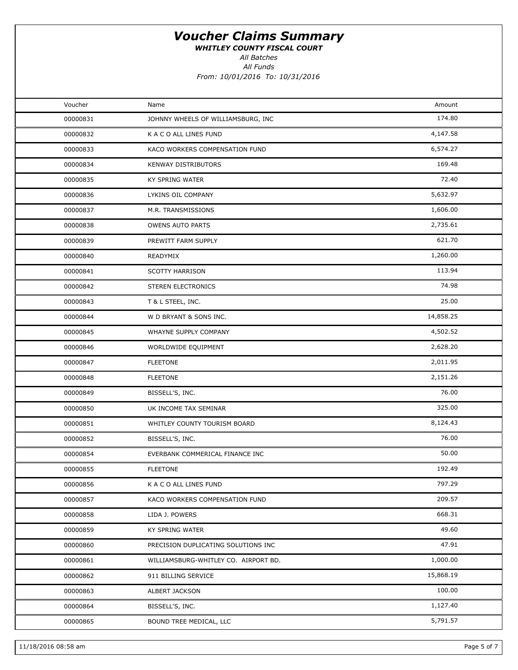WHITLEY COUNTY FISCAL COURT

All Batches

All Funds

| Voucher<br>Amount<br>Name<br>174.80<br>00000831<br>JOHNNY WHEELS OF WILLIAMSBURG, INC<br>4,147.58<br>00000832<br>K A C O ALL LINES FUND<br>6,574.27<br>00000833<br>KACO WORKERS COMPENSATION FUND<br>169.48<br>00000834<br><b>KENWAY DISTRIBUTORS</b><br>72.40<br>00000835<br>KY SPRING WATER<br>5,632.97<br>00000836<br>LYKINS OIL COMPANY<br>1,606.00<br>00000837<br>M.R. TRANSMISSIONS<br>2,735.61<br>00000838<br><b>OWENS AUTO PARTS</b><br>621.70<br>00000839<br>PREWITT FARM SUPPLY<br>1,260.00<br>00000840<br>READYMIX<br>113.94<br>00000841<br><b>SCOTTY HARRISON</b><br>74.98<br>00000842<br>STEREN ELECTRONICS<br>25.00<br>00000843<br>T & L STEEL, INC.<br>14,858.25<br>W D BRYANT & SONS INC.<br>00000844<br>4,502.52<br>00000845<br>WHAYNE SUPPLY COMPANY<br>2,628.20<br>00000846<br>WORLDWIDE EQUIPMENT<br>2,011.95<br>00000847<br><b>FLEETONE</b><br>2,151.26<br>00000848<br><b>FLEETONE</b><br>76.00<br>00000849<br>BISSELL'S, INC.<br>325.00<br>00000850<br>UK INCOME TAX SEMINAR<br>8,124.43<br>00000851<br>WHITLEY COUNTY TOURISM BOARD<br>76.00<br>00000852<br>BISSELL'S, INC.<br>50.00<br>00000854<br>EVERBANK COMMERICAL FINANCE INC<br>192.49<br>00000855<br><b>FLEETONE</b><br>797.29<br>00000856<br>K A C O ALL LINES FUND<br>209.57<br>00000857<br>KACO WORKERS COMPENSATION FUND<br>668.31<br>00000858<br>LIDA J. POWERS<br>49.60<br>00000859<br>KY SPRING WATER<br>47.91<br>00000860<br>PRECISION DUPLICATING SOLUTIONS INC<br>1,000.00<br>00000861<br>WILLIAMSBURG-WHITLEY CO. AIRPORT BD.<br>15,868.19<br>00000862<br>911 BILLING SERVICE<br>100.00<br>00000863<br>ALBERT JACKSON<br>1,127.40<br>BISSELL'S, INC.<br>00000864<br>5,791.57<br>00000865<br>BOUND TREE MEDICAL, LLC |  |  |
|---------------------------------------------------------------------------------------------------------------------------------------------------------------------------------------------------------------------------------------------------------------------------------------------------------------------------------------------------------------------------------------------------------------------------------------------------------------------------------------------------------------------------------------------------------------------------------------------------------------------------------------------------------------------------------------------------------------------------------------------------------------------------------------------------------------------------------------------------------------------------------------------------------------------------------------------------------------------------------------------------------------------------------------------------------------------------------------------------------------------------------------------------------------------------------------------------------------------------------------------------------------------------------------------------------------------------------------------------------------------------------------------------------------------------------------------------------------------------------------------------------------------------------------------------------------------------------------------------------------------------------------------------------------------------------------------------------------|--|--|
|                                                                                                                                                                                                                                                                                                                                                                                                                                                                                                                                                                                                                                                                                                                                                                                                                                                                                                                                                                                                                                                                                                                                                                                                                                                                                                                                                                                                                                                                                                                                                                                                                                                                                                               |  |  |
|                                                                                                                                                                                                                                                                                                                                                                                                                                                                                                                                                                                                                                                                                                                                                                                                                                                                                                                                                                                                                                                                                                                                                                                                                                                                                                                                                                                                                                                                                                                                                                                                                                                                                                               |  |  |
|                                                                                                                                                                                                                                                                                                                                                                                                                                                                                                                                                                                                                                                                                                                                                                                                                                                                                                                                                                                                                                                                                                                                                                                                                                                                                                                                                                                                                                                                                                                                                                                                                                                                                                               |  |  |
|                                                                                                                                                                                                                                                                                                                                                                                                                                                                                                                                                                                                                                                                                                                                                                                                                                                                                                                                                                                                                                                                                                                                                                                                                                                                                                                                                                                                                                                                                                                                                                                                                                                                                                               |  |  |
|                                                                                                                                                                                                                                                                                                                                                                                                                                                                                                                                                                                                                                                                                                                                                                                                                                                                                                                                                                                                                                                                                                                                                                                                                                                                                                                                                                                                                                                                                                                                                                                                                                                                                                               |  |  |
|                                                                                                                                                                                                                                                                                                                                                                                                                                                                                                                                                                                                                                                                                                                                                                                                                                                                                                                                                                                                                                                                                                                                                                                                                                                                                                                                                                                                                                                                                                                                                                                                                                                                                                               |  |  |
|                                                                                                                                                                                                                                                                                                                                                                                                                                                                                                                                                                                                                                                                                                                                                                                                                                                                                                                                                                                                                                                                                                                                                                                                                                                                                                                                                                                                                                                                                                                                                                                                                                                                                                               |  |  |
|                                                                                                                                                                                                                                                                                                                                                                                                                                                                                                                                                                                                                                                                                                                                                                                                                                                                                                                                                                                                                                                                                                                                                                                                                                                                                                                                                                                                                                                                                                                                                                                                                                                                                                               |  |  |
|                                                                                                                                                                                                                                                                                                                                                                                                                                                                                                                                                                                                                                                                                                                                                                                                                                                                                                                                                                                                                                                                                                                                                                                                                                                                                                                                                                                                                                                                                                                                                                                                                                                                                                               |  |  |
|                                                                                                                                                                                                                                                                                                                                                                                                                                                                                                                                                                                                                                                                                                                                                                                                                                                                                                                                                                                                                                                                                                                                                                                                                                                                                                                                                                                                                                                                                                                                                                                                                                                                                                               |  |  |
|                                                                                                                                                                                                                                                                                                                                                                                                                                                                                                                                                                                                                                                                                                                                                                                                                                                                                                                                                                                                                                                                                                                                                                                                                                                                                                                                                                                                                                                                                                                                                                                                                                                                                                               |  |  |
|                                                                                                                                                                                                                                                                                                                                                                                                                                                                                                                                                                                                                                                                                                                                                                                                                                                                                                                                                                                                                                                                                                                                                                                                                                                                                                                                                                                                                                                                                                                                                                                                                                                                                                               |  |  |
|                                                                                                                                                                                                                                                                                                                                                                                                                                                                                                                                                                                                                                                                                                                                                                                                                                                                                                                                                                                                                                                                                                                                                                                                                                                                                                                                                                                                                                                                                                                                                                                                                                                                                                               |  |  |
|                                                                                                                                                                                                                                                                                                                                                                                                                                                                                                                                                                                                                                                                                                                                                                                                                                                                                                                                                                                                                                                                                                                                                                                                                                                                                                                                                                                                                                                                                                                                                                                                                                                                                                               |  |  |
|                                                                                                                                                                                                                                                                                                                                                                                                                                                                                                                                                                                                                                                                                                                                                                                                                                                                                                                                                                                                                                                                                                                                                                                                                                                                                                                                                                                                                                                                                                                                                                                                                                                                                                               |  |  |
|                                                                                                                                                                                                                                                                                                                                                                                                                                                                                                                                                                                                                                                                                                                                                                                                                                                                                                                                                                                                                                                                                                                                                                                                                                                                                                                                                                                                                                                                                                                                                                                                                                                                                                               |  |  |
|                                                                                                                                                                                                                                                                                                                                                                                                                                                                                                                                                                                                                                                                                                                                                                                                                                                                                                                                                                                                                                                                                                                                                                                                                                                                                                                                                                                                                                                                                                                                                                                                                                                                                                               |  |  |
|                                                                                                                                                                                                                                                                                                                                                                                                                                                                                                                                                                                                                                                                                                                                                                                                                                                                                                                                                                                                                                                                                                                                                                                                                                                                                                                                                                                                                                                                                                                                                                                                                                                                                                               |  |  |
|                                                                                                                                                                                                                                                                                                                                                                                                                                                                                                                                                                                                                                                                                                                                                                                                                                                                                                                                                                                                                                                                                                                                                                                                                                                                                                                                                                                                                                                                                                                                                                                                                                                                                                               |  |  |
|                                                                                                                                                                                                                                                                                                                                                                                                                                                                                                                                                                                                                                                                                                                                                                                                                                                                                                                                                                                                                                                                                                                                                                                                                                                                                                                                                                                                                                                                                                                                                                                                                                                                                                               |  |  |
|                                                                                                                                                                                                                                                                                                                                                                                                                                                                                                                                                                                                                                                                                                                                                                                                                                                                                                                                                                                                                                                                                                                                                                                                                                                                                                                                                                                                                                                                                                                                                                                                                                                                                                               |  |  |
|                                                                                                                                                                                                                                                                                                                                                                                                                                                                                                                                                                                                                                                                                                                                                                                                                                                                                                                                                                                                                                                                                                                                                                                                                                                                                                                                                                                                                                                                                                                                                                                                                                                                                                               |  |  |
|                                                                                                                                                                                                                                                                                                                                                                                                                                                                                                                                                                                                                                                                                                                                                                                                                                                                                                                                                                                                                                                                                                                                                                                                                                                                                                                                                                                                                                                                                                                                                                                                                                                                                                               |  |  |
|                                                                                                                                                                                                                                                                                                                                                                                                                                                                                                                                                                                                                                                                                                                                                                                                                                                                                                                                                                                                                                                                                                                                                                                                                                                                                                                                                                                                                                                                                                                                                                                                                                                                                                               |  |  |
|                                                                                                                                                                                                                                                                                                                                                                                                                                                                                                                                                                                                                                                                                                                                                                                                                                                                                                                                                                                                                                                                                                                                                                                                                                                                                                                                                                                                                                                                                                                                                                                                                                                                                                               |  |  |
|                                                                                                                                                                                                                                                                                                                                                                                                                                                                                                                                                                                                                                                                                                                                                                                                                                                                                                                                                                                                                                                                                                                                                                                                                                                                                                                                                                                                                                                                                                                                                                                                                                                                                                               |  |  |
|                                                                                                                                                                                                                                                                                                                                                                                                                                                                                                                                                                                                                                                                                                                                                                                                                                                                                                                                                                                                                                                                                                                                                                                                                                                                                                                                                                                                                                                                                                                                                                                                                                                                                                               |  |  |
|                                                                                                                                                                                                                                                                                                                                                                                                                                                                                                                                                                                                                                                                                                                                                                                                                                                                                                                                                                                                                                                                                                                                                                                                                                                                                                                                                                                                                                                                                                                                                                                                                                                                                                               |  |  |
|                                                                                                                                                                                                                                                                                                                                                                                                                                                                                                                                                                                                                                                                                                                                                                                                                                                                                                                                                                                                                                                                                                                                                                                                                                                                                                                                                                                                                                                                                                                                                                                                                                                                                                               |  |  |
|                                                                                                                                                                                                                                                                                                                                                                                                                                                                                                                                                                                                                                                                                                                                                                                                                                                                                                                                                                                                                                                                                                                                                                                                                                                                                                                                                                                                                                                                                                                                                                                                                                                                                                               |  |  |
|                                                                                                                                                                                                                                                                                                                                                                                                                                                                                                                                                                                                                                                                                                                                                                                                                                                                                                                                                                                                                                                                                                                                                                                                                                                                                                                                                                                                                                                                                                                                                                                                                                                                                                               |  |  |
|                                                                                                                                                                                                                                                                                                                                                                                                                                                                                                                                                                                                                                                                                                                                                                                                                                                                                                                                                                                                                                                                                                                                                                                                                                                                                                                                                                                                                                                                                                                                                                                                                                                                                                               |  |  |
|                                                                                                                                                                                                                                                                                                                                                                                                                                                                                                                                                                                                                                                                                                                                                                                                                                                                                                                                                                                                                                                                                                                                                                                                                                                                                                                                                                                                                                                                                                                                                                                                                                                                                                               |  |  |
|                                                                                                                                                                                                                                                                                                                                                                                                                                                                                                                                                                                                                                                                                                                                                                                                                                                                                                                                                                                                                                                                                                                                                                                                                                                                                                                                                                                                                                                                                                                                                                                                                                                                                                               |  |  |
|                                                                                                                                                                                                                                                                                                                                                                                                                                                                                                                                                                                                                                                                                                                                                                                                                                                                                                                                                                                                                                                                                                                                                                                                                                                                                                                                                                                                                                                                                                                                                                                                                                                                                                               |  |  |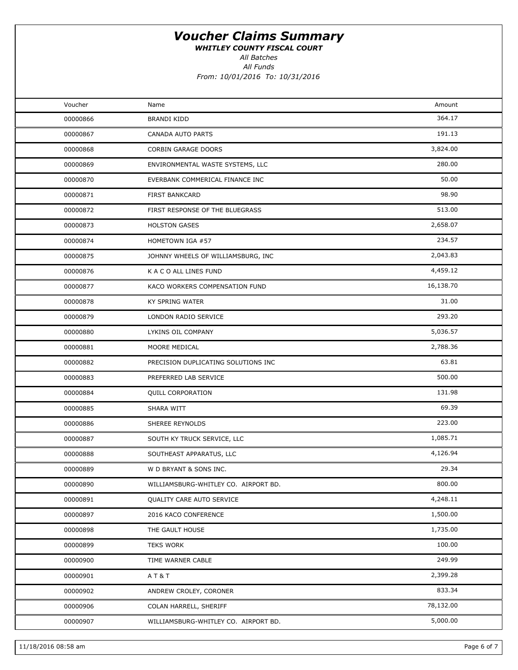WHITLEY COUNTY FISCAL COURT

All Batches

All Funds

| Voucher  | Name                                 | Amount    |  |
|----------|--------------------------------------|-----------|--|
| 00000866 | BRANDI KIDD                          | 364.17    |  |
| 00000867 | CANADA AUTO PARTS                    | 191.13    |  |
| 00000868 | CORBIN GARAGE DOORS                  | 3,824.00  |  |
| 00000869 | ENVIRONMENTAL WASTE SYSTEMS, LLC     | 280.00    |  |
| 00000870 | EVERBANK COMMERICAL FINANCE INC      | 50.00     |  |
| 00000871 | FIRST BANKCARD                       | 98.90     |  |
| 00000872 | FIRST RESPONSE OF THE BLUEGRASS      | 513.00    |  |
| 00000873 | <b>HOLSTON GASES</b>                 | 2,658.07  |  |
| 00000874 | HOMETOWN IGA #57                     | 234.57    |  |
| 00000875 | JOHNNY WHEELS OF WILLIAMSBURG, INC   | 2,043.83  |  |
| 00000876 | K A C O ALL LINES FUND               | 4,459.12  |  |
| 00000877 | KACO WORKERS COMPENSATION FUND       | 16,138.70 |  |
| 00000878 | KY SPRING WATER                      | 31.00     |  |
| 00000879 | LONDON RADIO SERVICE                 | 293.20    |  |
| 00000880 | LYKINS OIL COMPANY                   | 5,036.57  |  |
| 00000881 | MOORE MEDICAL                        | 2,788.36  |  |
| 00000882 | PRECISION DUPLICATING SOLUTIONS INC  | 63.81     |  |
| 00000883 | PREFERRED LAB SERVICE                | 500.00    |  |
| 00000884 | <b>QUILL CORPORATION</b>             | 131.98    |  |
| 00000885 | SHARA WITT                           | 69.39     |  |
| 00000886 | SHEREE REYNOLDS                      | 223.00    |  |
| 00000887 | SOUTH KY TRUCK SERVICE, LLC          | 1,085.71  |  |
| 00000888 | SOUTHEAST APPARATUS, LLC             | 4,126.94  |  |
| 00000889 | W D BRYANT & SONS INC.               | 29.34     |  |
| 00000890 | WILLIAMSBURG-WHITLEY CO. AIRPORT BD. | 800.00    |  |
| 00000891 | QUALITY CARE AUTO SERVICE            | 4,248.11  |  |
| 00000897 | 2016 KACO CONFERENCE                 | 1,500.00  |  |
| 00000898 | THE GAULT HOUSE                      | 1,735.00  |  |
| 00000899 | <b>TEKS WORK</b>                     | 100.00    |  |
| 00000900 | TIME WARNER CABLE                    | 249.99    |  |
| 00000901 | AT&T                                 | 2,399.28  |  |
| 00000902 | ANDREW CROLEY, CORONER               | 833.34    |  |
| 00000906 | COLAN HARRELL, SHERIFF               | 78,132.00 |  |
| 00000907 | WILLIAMSBURG-WHITLEY CO. AIRPORT BD. | 5,000.00  |  |
|          |                                      |           |  |